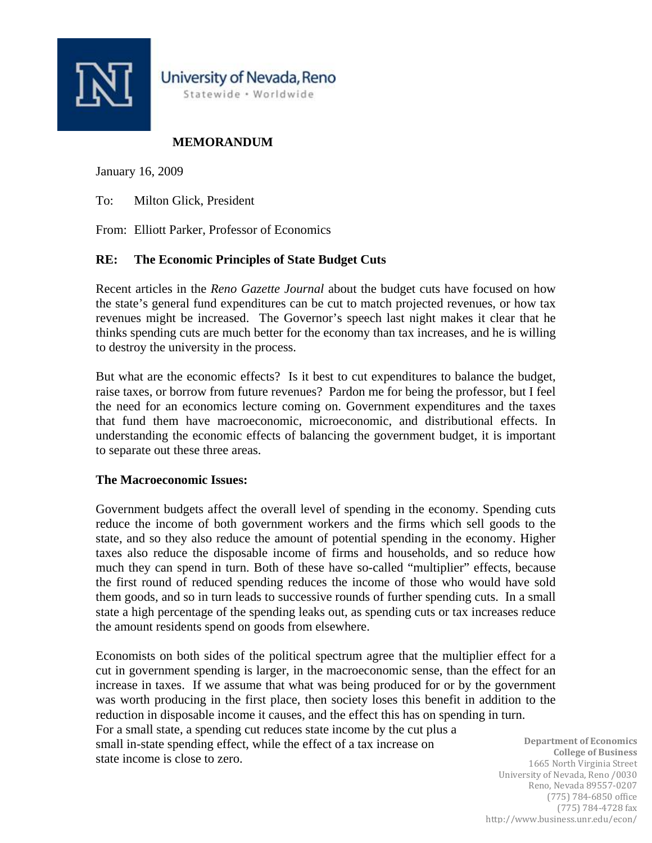

# **MEMORANDUM**

January 16, 2009

To: Milton Glick, President

From: Elliott Parker, Professor of Economics

## **RE: The Economic Principles of State Budget Cuts**

Recent articles in the *Reno Gazette Journal* about the budget cuts have focused on how the state's general fund expenditures can be cut to match projected revenues, or how tax revenues might be increased. The Governor's speech last night makes it clear that he thinks spending cuts are much better for the economy than tax increases, and he is willing to destroy the university in the process.

But what are the economic effects? Is it best to cut expenditures to balance the budget, raise taxes, or borrow from future revenues? Pardon me for being the professor, but I feel the need for an economics lecture coming on. Government expenditures and the taxes that fund them have macroeconomic, microeconomic, and distributional effects. In understanding the economic effects of balancing the government budget, it is important to separate out these three areas.

### **The Macroeconomic Issues:**

Government budgets affect the overall level of spending in the economy. Spending cuts reduce the income of both government workers and the firms which sell goods to the state, and so they also reduce the amount of potential spending in the economy. Higher taxes also reduce the disposable income of firms and households, and so reduce how much they can spend in turn. Both of these have so-called "multiplier" effects, because the first round of reduced spending reduces the income of those who would have sold them goods, and so in turn leads to successive rounds of further spending cuts. In a small state a high percentage of the spending leaks out, as spending cuts or tax increases reduce the amount residents spend on goods from elsewhere.

Economists on both sides of the political spectrum agree that the multiplier effect for a cut in government spending is larger, in the macroeconomic sense, than the effect for an increase in taxes. If we assume that what was being produced for or by the government was worth producing in the first place, then society loses this benefit in addition to the reduction in disposable income it causes, and the effect this has on spending in turn. For a small state, a spending cut reduces state income by the cut plus a small in-state spending effect, while the effect of a tax increase on state income is close to zero.

**Department of Economics College of Business** 1665 North Virginia Street University of Nevada, Reno /0030 Reno, Nevada 89557‐0207 (775) 784‐6850 office (775) 784‐4728 fax http://www.business.unr.edu/econ/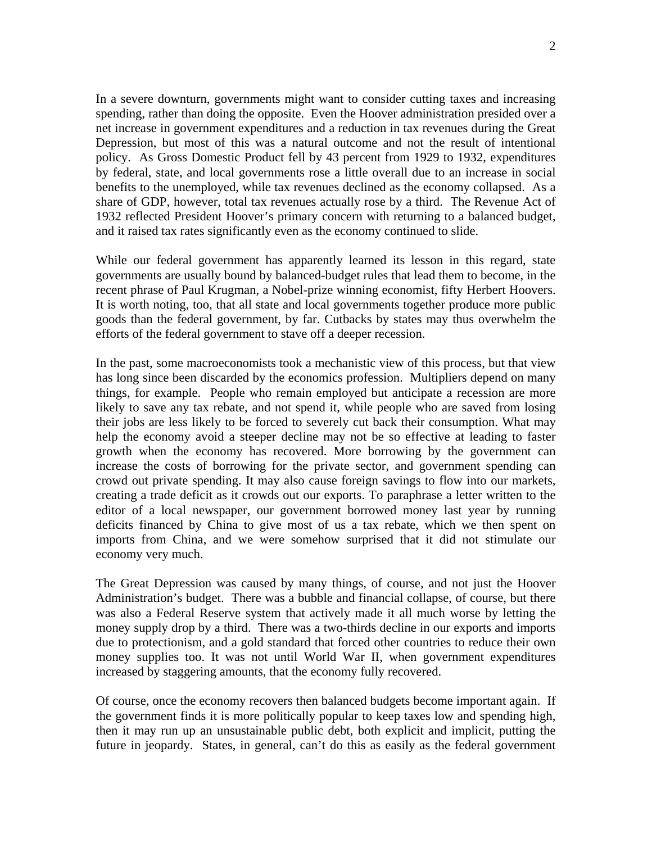In a severe downturn, governments might want to consider cutting taxes and increasing spending, rather than doing the opposite. Even the Hoover administration presided over a net increase in government expenditures and a reduction in tax revenues during the Great Depression, but most of this was a natural outcome and not the result of intentional policy. As Gross Domestic Product fell by 43 percent from 1929 to 1932, expenditures by federal, state, and local governments rose a little overall due to an increase in social benefits to the unemployed, while tax revenues declined as the economy collapsed. As a share of GDP, however, total tax revenues actually rose by a third. The Revenue Act of 1932 reflected President Hoover's primary concern with returning to a balanced budget, and it raised tax rates significantly even as the economy continued to slide.

While our federal government has apparently learned its lesson in this regard, state governments are usually bound by balanced-budget rules that lead them to become, in the recent phrase of Paul Krugman, a Nobel-prize winning economist, fifty Herbert Hoovers. It is worth noting, too, that all state and local governments together produce more public goods than the federal government, by far. Cutbacks by states may thus overwhelm the efforts of the federal government to stave off a deeper recession.

In the past, some macroeconomists took a mechanistic view of this process, but that view has long since been discarded by the economics profession. Multipliers depend on many things, for example. People who remain employed but anticipate a recession are more likely to save any tax rebate, and not spend it, while people who are saved from losing their jobs are less likely to be forced to severely cut back their consumption. What may help the economy avoid a steeper decline may not be so effective at leading to faster growth when the economy has recovered. More borrowing by the government can increase the costs of borrowing for the private sector, and government spending can crowd out private spending. It may also cause foreign savings to flow into our markets, creating a trade deficit as it crowds out our exports. To paraphrase a letter written to the editor of a local newspaper, our government borrowed money last year by running deficits financed by China to give most of us a tax rebate, which we then spent on imports from China, and we were somehow surprised that it did not stimulate our economy very much.

The Great Depression was caused by many things, of course, and not just the Hoover Administration's budget. There was a bubble and financial collapse, of course, but there was also a Federal Reserve system that actively made it all much worse by letting the money supply drop by a third. There was a two-thirds decline in our exports and imports due to protectionism, and a gold standard that forced other countries to reduce their own money supplies too. It was not until World War II, when government expenditures increased by staggering amounts, that the economy fully recovered.

Of course, once the economy recovers then balanced budgets become important again. If the government finds it is more politically popular to keep taxes low and spending high, then it may run up an unsustainable public debt, both explicit and implicit, putting the future in jeopardy. States, in general, can't do this as easily as the federal government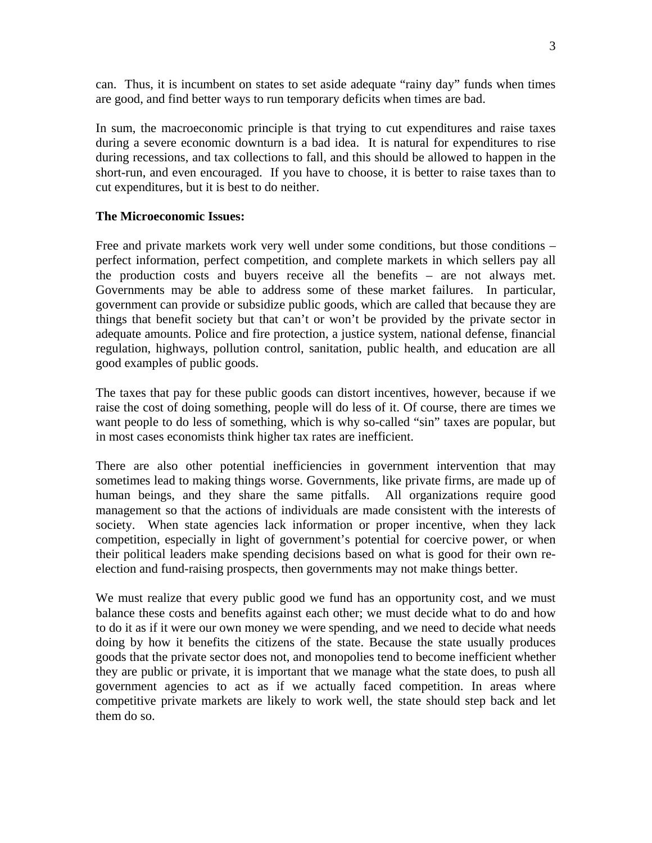can. Thus, it is incumbent on states to set aside adequate "rainy day" funds when times are good, and find better ways to run temporary deficits when times are bad.

In sum, the macroeconomic principle is that trying to cut expenditures and raise taxes during a severe economic downturn is a bad idea. It is natural for expenditures to rise during recessions, and tax collections to fall, and this should be allowed to happen in the short-run, and even encouraged. If you have to choose, it is better to raise taxes than to cut expenditures, but it is best to do neither.

### **The Microeconomic Issues:**

Free and private markets work very well under some conditions, but those conditions – perfect information, perfect competition, and complete markets in which sellers pay all the production costs and buyers receive all the benefits – are not always met. Governments may be able to address some of these market failures. In particular, government can provide or subsidize public goods, which are called that because they are things that benefit society but that can't or won't be provided by the private sector in adequate amounts. Police and fire protection, a justice system, national defense, financial regulation, highways, pollution control, sanitation, public health, and education are all good examples of public goods.

The taxes that pay for these public goods can distort incentives, however, because if we raise the cost of doing something, people will do less of it. Of course, there are times we want people to do less of something, which is why so-called "sin" taxes are popular, but in most cases economists think higher tax rates are inefficient.

There are also other potential inefficiencies in government intervention that may sometimes lead to making things worse. Governments, like private firms, are made up of human beings, and they share the same pitfalls. All organizations require good management so that the actions of individuals are made consistent with the interests of society. When state agencies lack information or proper incentive, when they lack competition, especially in light of government's potential for coercive power, or when their political leaders make spending decisions based on what is good for their own reelection and fund-raising prospects, then governments may not make things better.

We must realize that every public good we fund has an opportunity cost, and we must balance these costs and benefits against each other; we must decide what to do and how to do it as if it were our own money we were spending, and we need to decide what needs doing by how it benefits the citizens of the state. Because the state usually produces goods that the private sector does not, and monopolies tend to become inefficient whether they are public or private, it is important that we manage what the state does, to push all government agencies to act as if we actually faced competition. In areas where competitive private markets are likely to work well, the state should step back and let them do so.